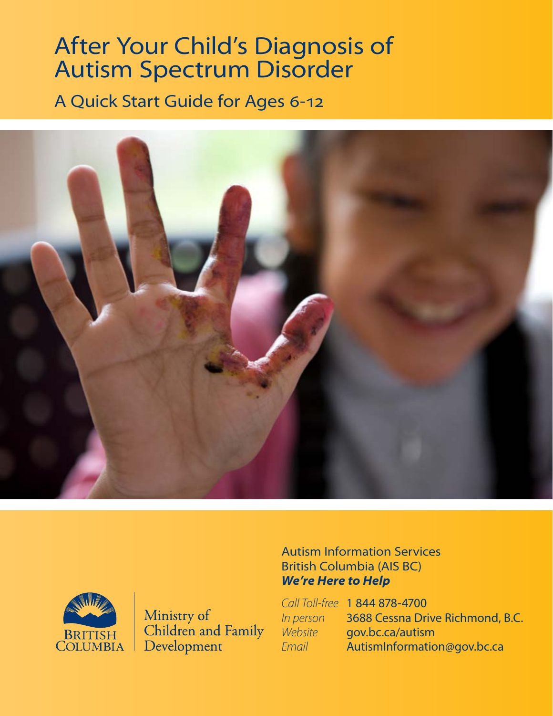## After Your Child's Diagnosis of Autism Spectrum Disorder

A Quick Start Guide for Ages 6-12





Ministry of Children and Family Development

#### Autism Information Services British Columbia (AIS BC) *We're Here to Help*

|           | Call Toll-free 1 844 878-4700    |
|-----------|----------------------------------|
| In person | 3688 Cessna Drive Richmond, B.C. |
| Website   | gov.bc.ca/autism                 |
| Email     | AutismInformation@gov.bc.ca      |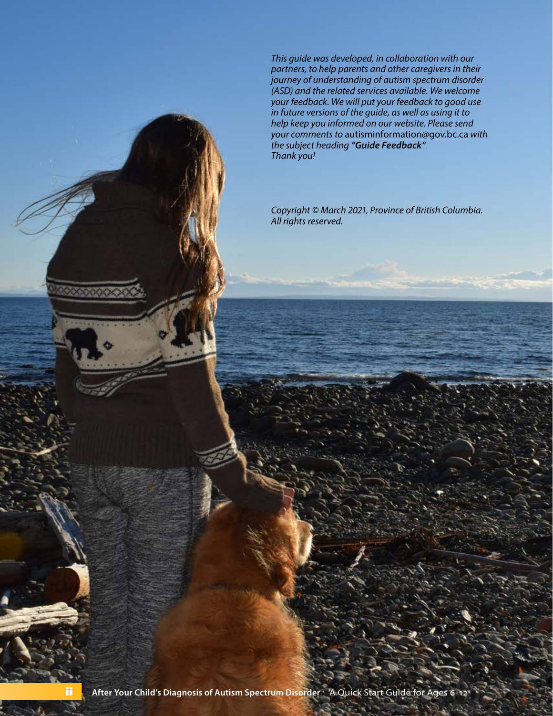*This guide was developed, in collaboration with our partners, to help parents and other caregivers in their journey of understanding of autism spectrum disorder (ASD) and the related services available. We welcome your feedback. We will put your feedback to good use in future versions of the guide, as well as using it to help keep you informed on our website. Please send your comments to* [autisminformation@gov.bc.ca](mailto:autisminformation@gov.bc.ca) *with the subject heading "Guide Feedback". Thank you!*

*Copyright © March 2021, Province of British Columbia. All rights reserved.*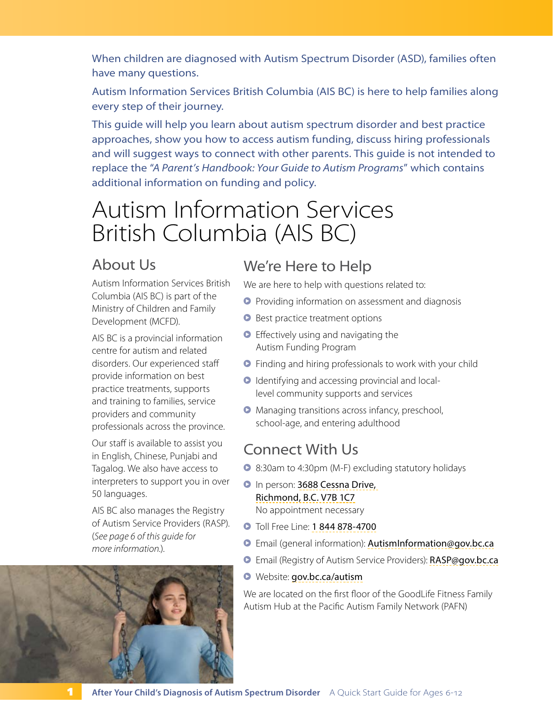When children are diagnosed with Autism Spectrum Disorder (ASD), families often have many questions.

Autism Information Services British Columbia (AIS BC) is here to help families along every step of their journey.

This guide will help you learn about autism spectrum disorder and best practice approaches, show you how to access autism funding, discuss hiring professionals and will suggest ways to connect with other parents. This guide is not intended to replace the "*A Parent's Handbook: Your Guide to Autism Programs*" which contains additional information on funding and policy.

## Autism Information Services British Columbia (AIS BC)

### About Us

Autism Information Services British Columbia (AIS BC) is part of the Ministry of Children and Family Development (MCFD).

AIS BC is a provincial information centre for autism and related disorders. Our experienced staff provide information on best practice treatments, supports and training to families, service providers and community professionals across the province.

Our staff is available to assist you in English, Chinese, Punjabi and Tagalog. We also have access to interpreters to support you in over 50 languages.

AIS BC also manages the Registry of Autism Service Providers (RASP). (*[See page 6 of this guide for](#page-7-0)  [more information.](#page-7-0)*).



### We're Here to Help

We are here to help with questions related to:

- **•** Providing information on assessment and diagnosis
- **•** Best practice treatment options
- **•** Effectively using and navigating the Autism Funding Program
- **•** Finding and hiring professionals to work with your child
- Μ Identifying and accessing provincial and locallevel community supports and services
- Μ Managing transitions across infancy, preschool, school-age, and entering adulthood

### Connect With Us

- Μ 8:30am to 4:30pm (M-F) excluding statutory holidays
- **D** In person: 3688 Cessna Drive, Richmond, B.C. V7B 1C7 No appointment necessary
- **•** Toll Free Line: 1 844 878-4700
- Μ Email (general information): [AutismInformation@gov.bc.ca](mailto:AutismInformation@gov.bc.ca)
- **D** Email (Registry of Autism Service Providers): [RASP@gov.bc.ca](mailto:RASP@gov.bc.ca)
- Μ Website: [gov.bc.ca/autism](http://gov.bc.ca/autism)

We are located on the first floor of the GoodLife Fitness Family Autism Hub at the Pacific Autism Family Network (PAFN)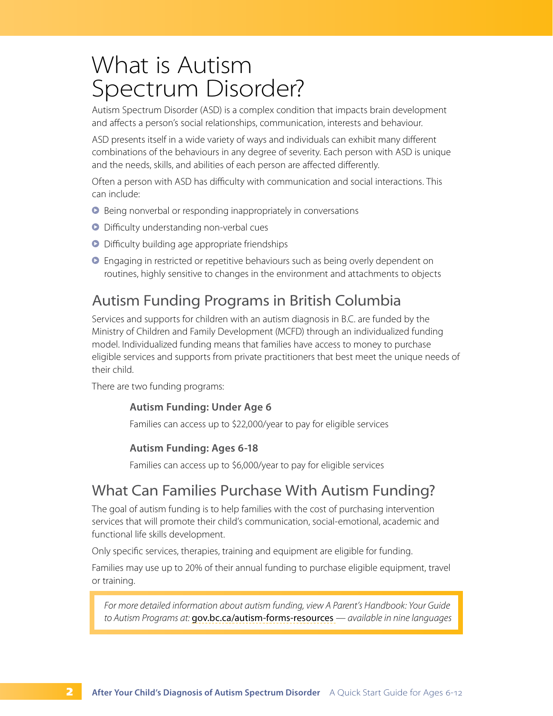### What is Autism Spectrum Disorder?

Autism Spectrum Disorder (ASD) is a complex condition that impacts brain development and affects a person's social relationships, communication, interests and behaviour.

ASD presents itself in a wide variety of ways and individuals can exhibit many different combinations of the behaviours in any degree of severity. Each person with ASD is unique and the needs, skills, and abilities of each person are affected differently.

Often a person with ASD has difficulty with communication and social interactions. This can include:

- Μ Being nonverbal or responding inappropriately in conversations
- Μ Difficulty understanding non-verbal cues
- **•** Difficulty building age appropriate friendships
- **•** Engaging in restricted or repetitive behaviours such as being overly dependent on routines, highly sensitive to changes in the environment and attachments to objects

### Autism Funding Programs in British Columbia

Services and supports for children with an autism diagnosis in B.C. are funded by the Ministry of Children and Family Development (MCFD) through an individualized funding model. Individualized funding means that families have access to money to purchase eligible services and supports from private practitioners that best meet the unique needs of their child.

There are two funding programs:

#### **Autism Funding: Under Age 6**

Families can access up to \$22,000/year to pay for eligible services

#### **Autism Funding: Ages 6-18**

Families can access up to \$6,000/year to pay for eligible services

### What Can Families Purchase With Autism Funding?

The goal of autism funding is to help families with the cost of purchasing intervention services that will promote their child's communication, social-emotional, academic and functional life skills development.

Only specific services, therapies, training and equipment are eligible for funding.

Families may use up to 20% of their annual funding to purchase eligible equipment, travel or training.

*For more detailed information about autism funding, view A Parent's Handbook: Your Guide to Autism Programs at:* [gov.bc.ca/autism-forms-resources](http://gov.bc.ca/autism-forms-resources) *— available in nine languages*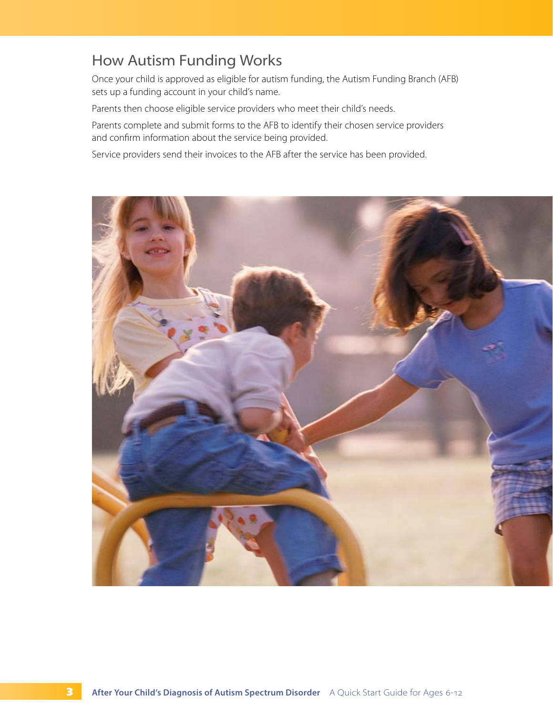### How Autism Funding Works

Once your child is approved as eligible for autism funding, the Autism Funding Branch (AFB) sets up a funding account in your child's name.

Parents then choose eligible service providers who meet their child's needs.

Parents complete and submit forms to the AFB to identify their chosen service providers and confirm information about the service being provided.

Service providers send their invoices to the AFB after the service has been provided.

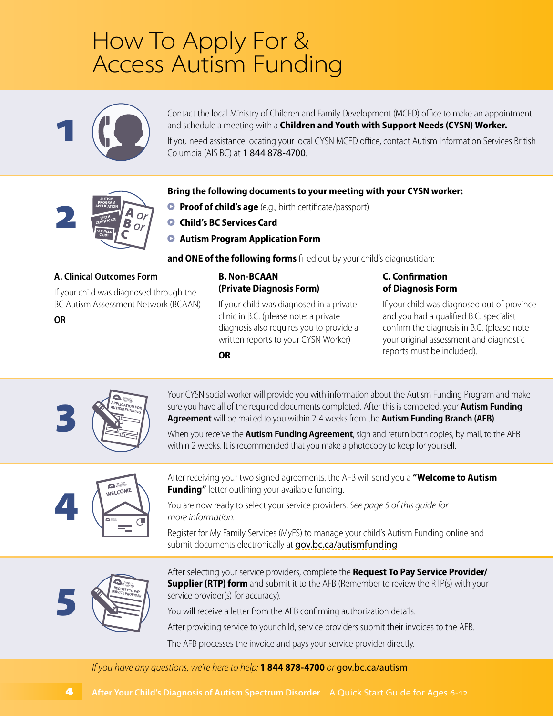## How To Apply For & Access Autism Funding



**AUTISM PROGRAM APPLICATION BIRTH** CERTIFICATE **SERVICES CARD**

2

**OR**

Contact the local Ministry of Children and Family Development (MCFD) office to make an appointment and schedule a meeting with a **Children and Youth with Support Needs (CYSN) Worker.**

If you need assistance locating your local CYSN MCFD office, contact Autism Information Services British Columbia (AIS BC) at 1 844 878-4700.

#### **Bring the following documents to your meeting with your CYSN worker:**

- **Proof of child's age** (e.g., birth certificate/passport)
- **O** Child's BC Services Card

**OR**

 $\bullet$  **Autism Program Application Form** 

and ONE of the following forms filled out by your child's diagnostician:

#### **A. Clinical Outcomes Form**

If your child was diagnosed through the BC Autism Assessment Network (BCAAN)

#### **B. Non-BCAAN (Private Diagnosis Form)**

If your child was diagnosed in a private clinic in B.C. (please note: a private diagnosis also requires you to provide all written reports to your CYSN Worker)

#### **C. Confirmation of Diagnosis Form**

If your child was diagnosed out of province and you had a qualified B.C. specialist confirm the diagnosis in B.C. (please note your original assessment and diagnostic reports must be included).

**APPLICATION FOR AUTISM FUNDING** 3

Your CYSN social worker will provide you with information about the Autism Funding Program and make sure you have all of the required documents completed. After this is competed, your **Autism Funding Agreement** will be mailed to you within 2-4 weeks from the **Autism Funding Branch (AFB)**.

When you receive the **Autism Funding Agreement**, sign and return both copies, by mail, to the AFB within 2 weeks. It is recommended that you make a photocopy to keep for yourself.



After receiving your two signed agreements, the AFB will send you a **"Welcome to Autism Funding"** letter outlining your available funding.

You are now ready to select your service providers. *See page 5 of this guide for more information.*

Register for My Family Services (MyFS) to manage your child's Autism Funding online and submit documents electronically at [gov.bc.ca/autismfunding](http://gov.bc.ca/autismfunding)



After selecting your service providers, complete the **Request To Pay Service Provider/ Supplier (RTP) form** and submit it to the AFB (Remember to review the RTP(s) with your service provider(s) for accuracy).

You will receive a letter from the AFB confirming authorization details.

After providing service to your child, service providers submit their invoices to the AFB.

The AFB processes the invoice and pays your service provider directly[.](http://autisminfo.gov.bc.ca)

*If you have any questions, we're here to help:* **1 844 878-4700** *or* [gov.bc.ca/autism](http://gov.bc.ca/autism)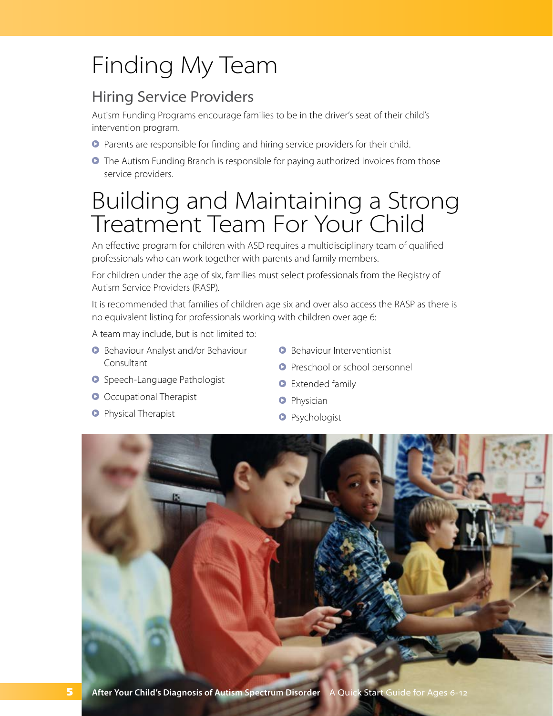## Finding My Team

### Hiring Service Providers

Autism Funding Programs encourage families to be in the driver's seat of their child's intervention program.

- **•** Parents are responsible for finding and hiring service providers for their child.
- **•** The Autism Funding Branch is responsible for paying authorized invoices from those service providers.

## Building and Maintaining a Strong Treatment Team For Your Child

An effective program for children with ASD requires a multidisciplinary team of qualified professionals who can work together with parents and family members.

For children under the age of six, families must select professionals from the Registry of Autism Service Providers (RASP).

It is recommended that families of children age six and over also access the RASP as there is no equivalent listing for professionals working with children over age 6:

A team may include, but is not limited to:

- **B** Behaviour Analyst and/or Behaviour Consultant
- **•** Speech-Language Pathologist
- **O** Occupational Therapist
- **O** Physical Therapist
- **B** Behaviour Interventionist
- **O** Preschool or school personnel
- **O** Extended family
- **O** Physician
- **O** Psychologist

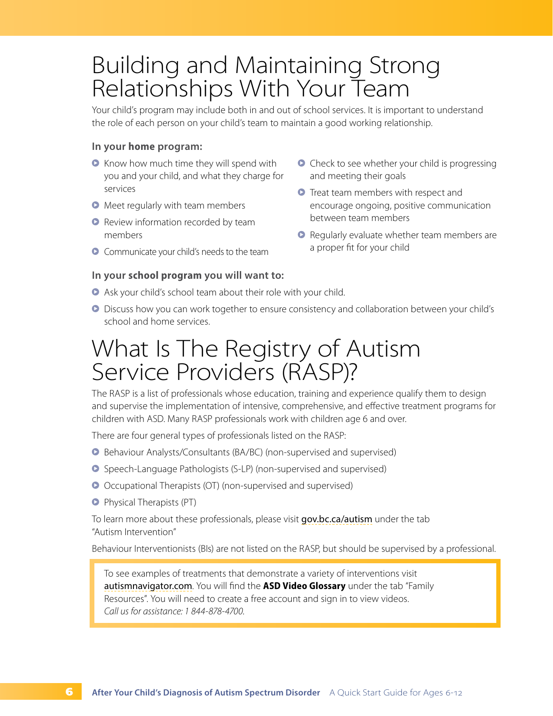## Building and Maintaining Strong Relationships With Your Team

Your child's program may include both in and out of school services. It is important to understand the role of each person on your child's team to maintain a good working relationship.

#### **In your home program:**

- **•** Know how much time they will spend with you and your child, and what they charge for services
- **•** Meet regularly with team members
- **•** Review information recorded by team members
- **•** Communicate your child's needs to the team

#### **In your school program you will want to:**

- **•** Check to see whether your child is progressing and meeting their goals
- **•** Treat team members with respect and encourage ongoing, positive communication between team members
- **•** Regularly evaluate whether team members are a proper fit for your child
- **•** Ask your child's school team about their role with your child.
- **•** Discuss how you can work together to ensure consistency and collaboration between your child's school and home services.

## <span id="page-7-0"></span>What Is The Registry of Autism Service Providers (RASP)?

The RASP is a list of professionals whose education, training and experience qualify them to design and supervise the implementation of intensive, comprehensive, and effective treatment programs for children with ASD. Many RASP professionals work with children age 6 and over.

There are four general types of professionals listed on the RASP:

- Μ Behaviour Analysts/Consultants (BA/BC) (non-supervised and supervised)
- **•** Speech-Language Pathologists (S-LP) (non-supervised and supervised)
- Μ Occupational Therapists (OT) (non-supervised and supervised)
- Μ Physical Therapists (PT)

To learn more about these professionals, please visit [gov.bc.ca/autism](http://gov.bc.ca/autism) under the tab "Autism Intervention"

Behaviour Interventionists (BIs) are not listed on the RASP, but should be supervised by a professional.

To see examples of treatments that demonstrate a variety of interventions visit [autismnavigator.com](http://autismnavigator.com). You will find the **ASD Video Glossary** under the tab "Family Resources". You will need to create a free account and sign in to view videos. *Call us for assistance: 1 844-878-4700.*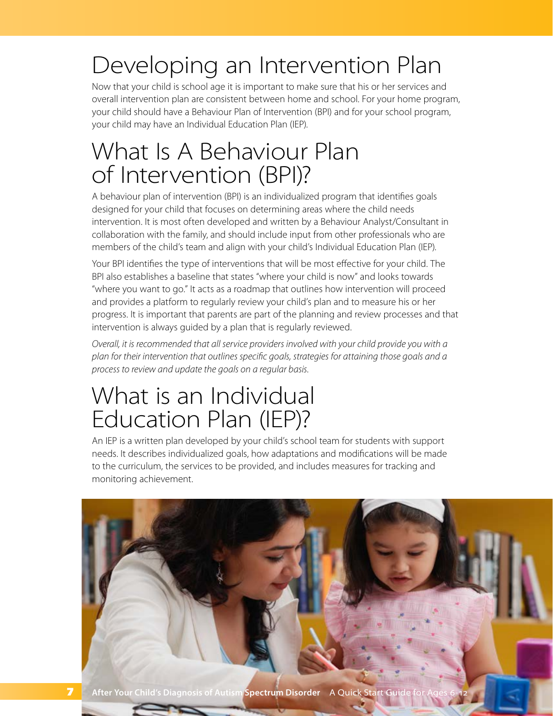## Developing an Intervention Plan

Now that your child is school age it is important to make sure that his or her services and overall intervention plan are consistent between home and school. For your home program, your child should have a Behaviour Plan of Intervention (BPI) and for your school program, your child may have an Individual Education Plan (IEP).

## What Is A Behaviour Plan of Intervention (BPI)?

A behaviour plan of intervention (BPI) is an individualized program that identifies goals designed for your child that focuses on determining areas where the child needs intervention. It is most often developed and written by a Behaviour Analyst/Consultant in collaboration with the family, and should include input from other professionals who are members of the child's team and align with your child's Individual Education Plan (IEP).

Your BPI identifies the type of interventions that will be most effective for your child. The BPI also establishes a baseline that states "where your child is now" and looks towards "where you want to go." It acts as a roadmap that outlines how intervention will proceed and provides a platform to regularly review your child's plan and to measure his or her progress. It is important that parents are part of the planning and review processes and that intervention is always guided by a plan that is regularly reviewed.

*Overall, it is recommended that all service providers involved with your child provide you with a plan for their intervention that outlines specific goals, strategies for attaining those goals and a process to review and update the goals on a regular basis.*

## What is an Individual Education Plan (IEP)?

An IEP is a written plan developed by your child's school team for students with support needs. It describes individualized goals, how adaptations and modifications will be made to the curriculum, the services to be provided, and includes measures for tracking and monitoring achievement.

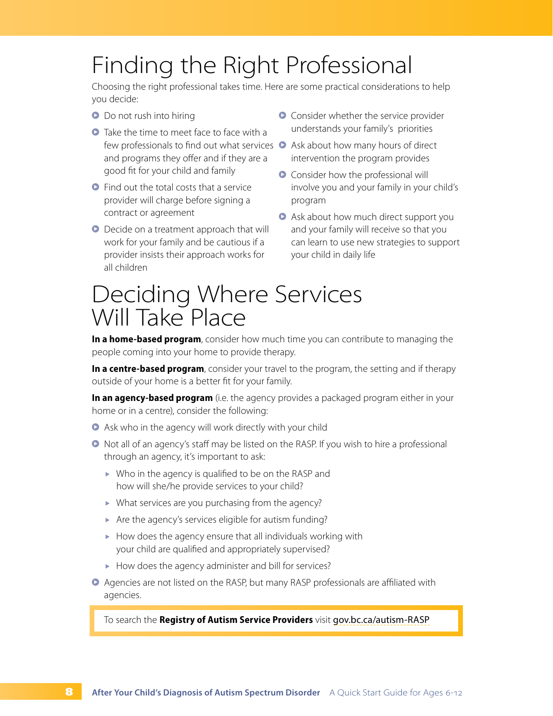## Finding the Right Professional

Choosing the right professional takes time. Here are some practical considerations to help you decide:

- **O** Do not rush into hiring
- **•** Take the time to meet face to face with a few professionals to find out what services  $\bullet$  Ask about how many hours of direct and programs they offer and if they are a good fit for your child and family
- **•** Find out the total costs that a service provider will charge before signing a contract or agreement
- **•** Decide on a treatment approach that will work for your family and be cautious if a provider insists their approach works for all children
- **•** Consider whether the service provider understands your family's priorities
- intervention the program provides
- **•** Consider how the professional will involve you and your family in your child's program
- Μ Ask about how much direct support you and your family will receive so that you can learn to use new strategies to support your child in daily life

### Deciding Where Services Will Take Place

**In a home-based program**, consider how much time you can contribute to managing the people coming into your home to provide therapy.

**In a centre-based program**, consider your travel to the program, the setting and if therapy outside of your home is a better fit for your family.

**In an agency-based program** (i.e. the agency provides a packaged program either in your home or in a centre), consider the following:

- **•** Ask who in the agency will work directly with your child
- **•** Not all of an agency's staff may be listed on the RASP. If you wish to hire a professional through an agency, it's important to ask:
	- Who in the agency is qualified to be on the RASP and how will she/he provide services to your child?
	- ▶ What services are you purchasing from the agency?
	- Are the agency's services eligible for autism funding?
	- $\blacktriangleright$  How does the agency ensure that all individuals working with your child are qualified and appropriately supervised?
	- $\blacktriangleright$  How does the agency administer and bill for services?
- Μ Agencies are not listed on the RASP, but many RASP professionals are affiliated with agencies.

To search the **Registry of Autism Service Providers** visit [gov.bc.ca/autism-RASP](http://gov.bc.ca/autism-RASP)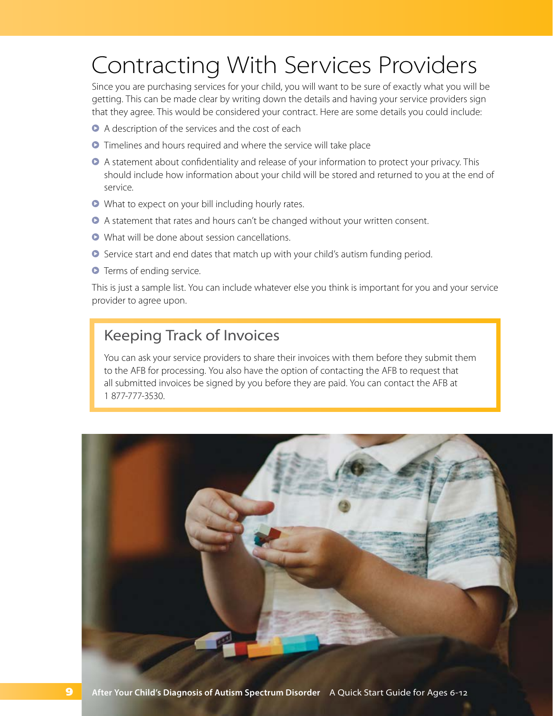## <span id="page-10-0"></span>Contracting With Services Providers

Since you are purchasing services for your child, you will want to be sure of exactly what you will be getting. This can be made clear by writing down the details and having your service providers sign that they agree. This would be considered your contract. Here are some details you could include:

- Μ A description of the services and the cost of each
- **•** Timelines and hours required and where the service will take place
- Μ A statement about confidentiality and release of your information to protect your privacy. This should include how information about your child will be stored and returned to you at the end of service.
- **•** What to expect on your bill including hourly rates.
- **A** A statement that rates and hours can't be changed without your written consent.
- Μ What will be done about session cancellations.
- **•** Service start and end dates that match up with your child's autism funding period.
- **O** Terms of ending service.

This is just a sample list. You can include whatever else you think is important for you and your service provider to agree upon.

### Keeping Track of Invoices

You can ask your service providers to share their invoices with them before they submit them to the AFB for processing. You also have the option of contacting the AFB to request that all submitted invoices be signed by you before they are paid. You can contact the AFB at 1 877-777-3530.

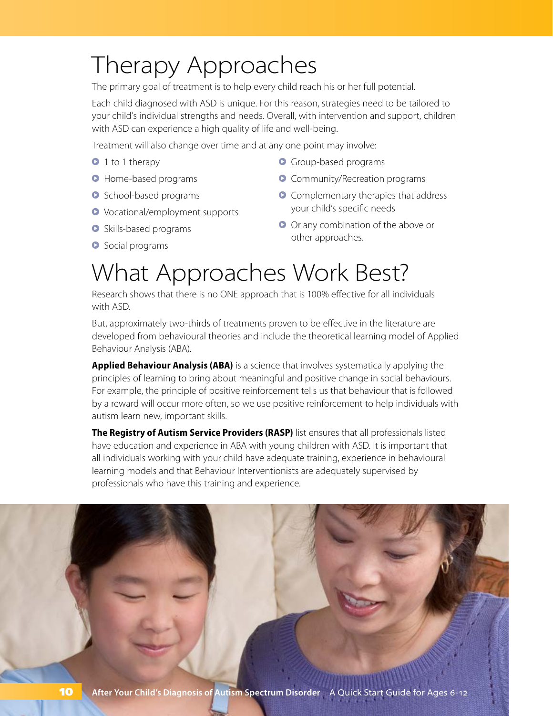## Therapy Approaches

The primary goal of treatment is to help every child reach his or her full potential.

Each child diagnosed with ASD is unique. For this reason, strategies need to be tailored to your child's individual strengths and needs. Overall, with intervention and support, children with ASD can experience a high quality of life and well-being.

Treatment will also change over time and at any one point may involve:

- Μ 1 to 1 therapy
- **Home-based programs**
- **•** School-based programs
- Μ Vocational/employment supports
- $\bullet$  Skills-based programs
- $\bullet$  Social programs
- **O** Group-based programs
- **Community/Recreation programs**
- **•** Complementary therapies that address your child's specific needs
- **O** Or any combination of the above or other approaches.

## What Approaches Work Best?

Research shows that there is no ONE approach that is 100% effective for all individuals with ASD.

But, approximately two-thirds of treatments proven to be effective in the literature are developed from behavioural theories and include the theoretical learning model of Applied Behaviour Analysis (ABA).

**Applied Behaviour Analysis (ABA)** is a science that involves systematically applying the principles of learning to bring about meaningful and positive change in social behaviours. For example, the principle of positive reinforcement tells us that behaviour that is followed by a reward will occur more often, so we use positive reinforcement to help individuals with autism learn new, important skills.

**The Registry of Autism Service Providers (RASP)** list ensures that all professionals listed have education and experience in ABA with young children with ASD. It is important that all individuals working with your child have adequate training, experience in behavioural learning models and that Behaviour Interventionists are adequately supervised by professionals who have this training and experience.

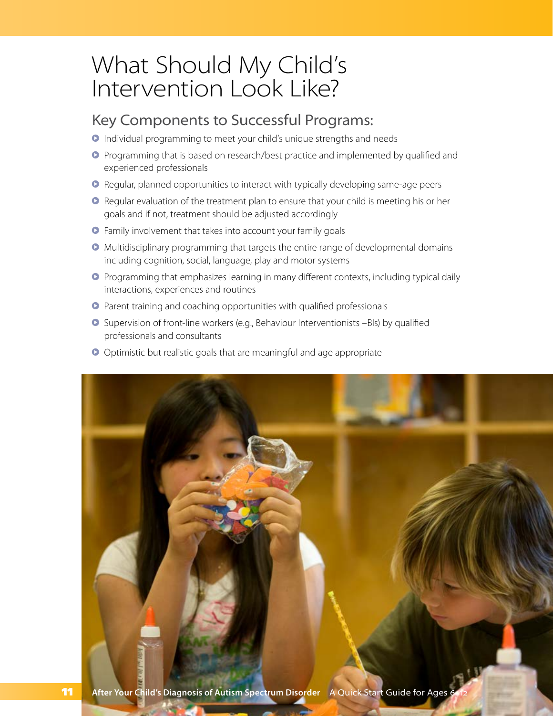### What Should My Child's Intervention Look Like?

### Key Components to Successful Programs:

- **•** Individual programming to meet your child's unique strengths and needs
- Μ Programming that is based on research/best practice and implemented by qualified and experienced professionals
- Μ Regular, planned opportunities to interact with typically developing same-age peers
- Μ Regular evaluation of the treatment plan to ensure that your child is meeting his or her goals and if not, treatment should be adjusted accordingly
- **•** Family involvement that takes into account your family goals
- **•** Multidisciplinary programming that targets the entire range of developmental domains including cognition, social, language, play and motor systems
- **•** Programming that emphasizes learning in many different contexts, including typical daily interactions, experiences and routines
- **•** Parent training and coaching opportunities with qualified professionals
- Μ Supervision of front-line workers (e.g., Behaviour Interventionists –BIs) by qualified professionals and consultants
- **O** Optimistic but realistic goals that are meaningful and age appropriate

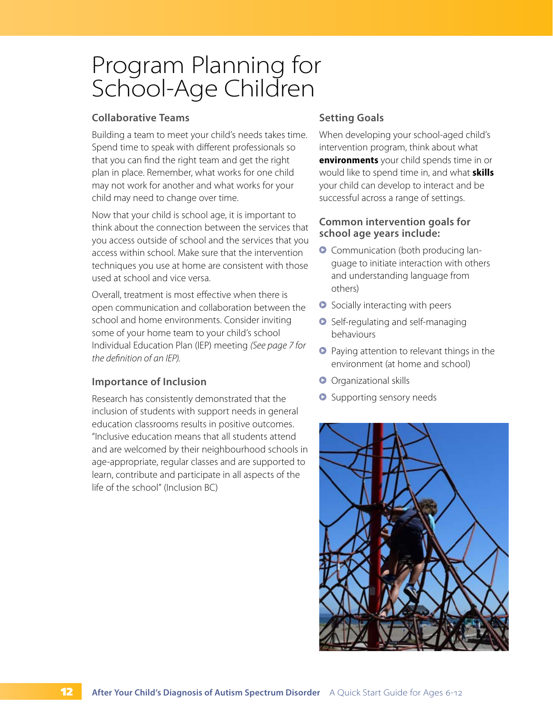## Program Planning for School-Age Children

#### **Collaborative Teams**

Building a team to meet your child's needs takes time. Spend time to speak with different professionals so that you can find the right team and get the right plan in place. Remember, what works for one child may not work for another and what works for your child may need to change over time.

Now that your child is school age, it is important to think about the connection between the services that you access outside of school and the services that you access within school. Make sure that the intervention techniques you use at home are consistent with those used at school and vice versa.

Overall, treatment is most effective when there is open communication and collaboration between the school and home environments. Consider inviting some of your home team to your child's school Individual Education Plan (IEP) meeting *(See page 7 for the definition of an IEP).*

#### **Importance of Inclusion**

Research has consistently demonstrated that the inclusion of students with support needs in general education classrooms results in positive outcomes. "Inclusive education means that all students attend and are welcomed by their neighbourhood schools in age-appropriate, regular classes and are supported to learn, contribute and participate in all aspects of the life of the school" (Inclusion BC)

#### **Setting Goals**

When developing your school-aged child's intervention program, think about what **environments** your child spends time in or would like to spend time in, and what **skills** your child can develop to interact and be successful across a range of settings.

#### **Common intervention goals for school age years include:**

- $\bullet$  Communication (both producing language to initiate interaction with others and understanding language from others)
- **•** Socially interacting with peers
- **•** Self-regulating and self-managing behaviours
- **•** Paying attention to relevant things in the environment (at home and school)
- **O** Organizational skills
- **O** Supporting sensory needs

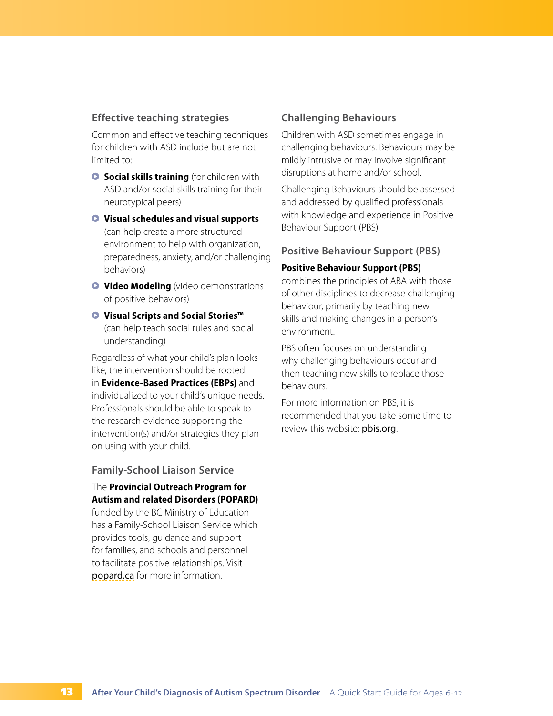#### **Effective teaching strategies**

Common and effective teaching techniques for children with ASD include but are not limited to:

- **G** Social skills training (for children with ASD and/or social skills training for their neurotypical peers)
- Μ **Visual schedules and visual supports** (can help create a more structured environment to help with organization, preparedness, anxiety, and/or challenging behaviors)
- $\bullet$  **Video Modeling** (video demonstrations of positive behaviors)
- Μ **Visual Scripts and Social Stories™**  (can help teach social rules and social understanding)

Regardless of what your child's plan looks like, the intervention should be rooted in **Evidence-Based Practices (EBPs)** and individualized to your child's unique needs. Professionals should be able to speak to the research evidence supporting the intervention(s) and/or strategies they plan on using with your child.

#### **Family-School Liaison Service**

#### The **Provincial Outreach Program for Autism and related Disorders (POPARD)**

funded by the BC Ministry of Education has a Family-School Liaison Service which provides tools, guidance and support for families, and schools and personnel to facilitate positive relationships. Visit [popard.ca](http://popard.ca) for more information.

#### **Challenging Behaviours**

Children with ASD sometimes engage in challenging behaviours. Behaviours may be mildly intrusive or may involve significant disruptions at home and/or school.

Challenging Behaviours should be assessed and addressed by qualified professionals with knowledge and experience in Positive Behaviour Support (PBS).

#### **Positive Behaviour Support (PBS)**

#### **Positive Behaviour Support (PBS)**

combines the principles of ABA with those of other disciplines to decrease challenging behaviour, primarily by teaching new skills and making changes in a person's environment.

PBS often focuses on understanding why challenging behaviours occur and then teaching new skills to replace those behaviours.

For more information on PBS, it is recommended that you take some time to review this website: [pbis.org](http://pbis.org).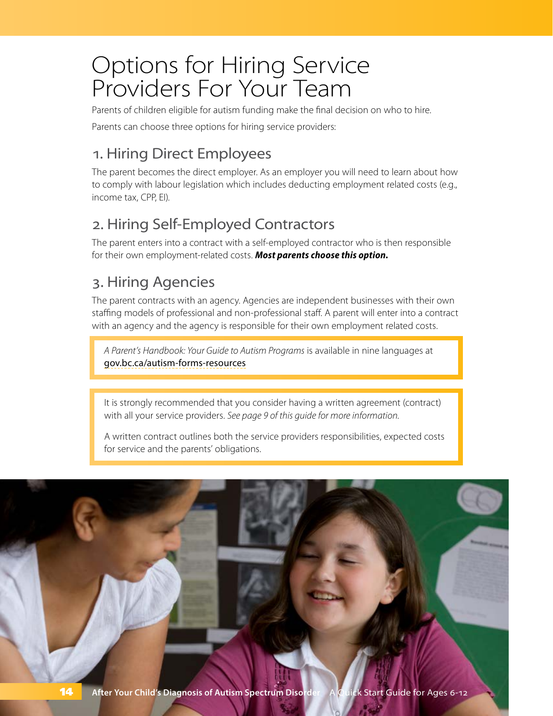## Options for Hiring Service Providers For Your Team

Parents of children eligible for autism funding make the final decision on who to hire.

Parents can choose three options for hiring service providers:

### 1. Hiring Direct Employees

The parent becomes the direct employer. As an employer you will need to learn about how to comply with labour legislation which includes deducting employment related costs (e.g., income tax, CPP, EI).

### 2. Hiring Self-Employed Contractors

The parent enters into a contract with a self-employed contractor who is then responsible for their own employment-related costs. *Most parents choose this option.*

### 3. Hiring Agencies

The parent contracts with an agency. Agencies are independent businesses with their own staffing models of professional and non-professional staff. A parent will enter into a contract with an agency and the agency is responsible for their own employment related costs.

*A Parent's Handbook: Your Guide to Autism Programs* is available in nine languages at [gov.bc.ca/autism-forms-resources](http://gov.bc.ca/autism-forms-resources)

It is strongly recommended that you consider having a written agreement (contract) with all your service providers. *[See page 9 of this guide for more information.](#page-10-0)*

A written contract outlines both the service providers responsibilities, expected costs for service and the parents' obligations.

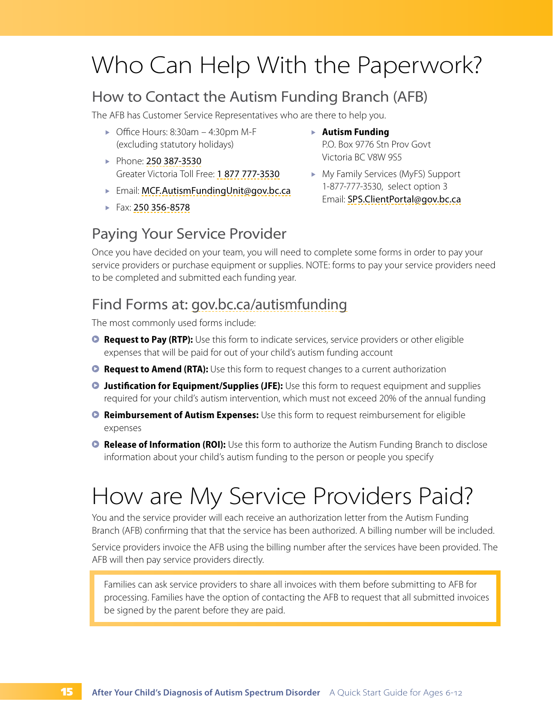## Who Can Help With the Paperwork?

### How to Contact the Autism Funding Branch (AFB)

The AFB has Customer Service Representatives who are there to help you.

- $\triangleright$  Office Hours: 8:30am 4:30pm M-F (excluding statutory holidays)
- Phone: 250 387-3530 Greater Victoria Toll Free: 1 877 777-3530
- ► Email: [MCF.AutismFundingUnit@gov.bc.ca](mailto:MCF.AutismFundingUnit@gov.bc.ca)
- Fax: 250 356-8578
- **Autism Funding** P.O. Box 9776 Stn Prov Govt Victoria BC V8W 9S5
- My Family Services (MyFS) Support 1-877-777-3530, select option 3 Email: [SPS.ClientPortal@gov.bc.ca](mailto:SPS.ClientPortal@gov.bc.ca)

### Paying Your Service Provider

Once you have decided on your team, you will need to complete some forms in order to pay your service providers or purchase equipment or supplies. NOTE: forms to pay your service providers need to be completed and submitted each funding year.

### Find Forms at: [gov.bc.ca/autismfunding](http://gov.bc.ca/autismfunding)

The most commonly used forms include:

- **Request to Pay (RTP):** Use this form to indicate services, service providers or other eligible expenses that will be paid for out of your child's autism funding account
- **Request to Amend (RTA):** Use this form to request changes to a current authorization
- **D** Justification for Equipment/Supplies (JFE): Use this form to request equipment and supplies required for your child's autism intervention, which must not exceed 20% of the annual funding
- *C* Reimbursement of Autism Expenses: Use this form to request reimbursement for eligible expenses
- **B Release of Information (ROI):** Use this form to authorize the Autism Funding Branch to disclose information about your child's autism funding to the person or people you specify

## How are My Service Providers Paid?

You and the service provider will each receive an authorization letter from the Autism Funding Branch (AFB) confirming that that the service has been authorized. A billing number will be included.

Service providers invoice the AFB using the billing number after the services have been provided. The AFB will then pay service providers directly.

Families can ask service providers to share all invoices with them before submitting to AFB for processing. Families have the option of contacting the AFB to request that all submitted invoices be signed by the parent before they are paid.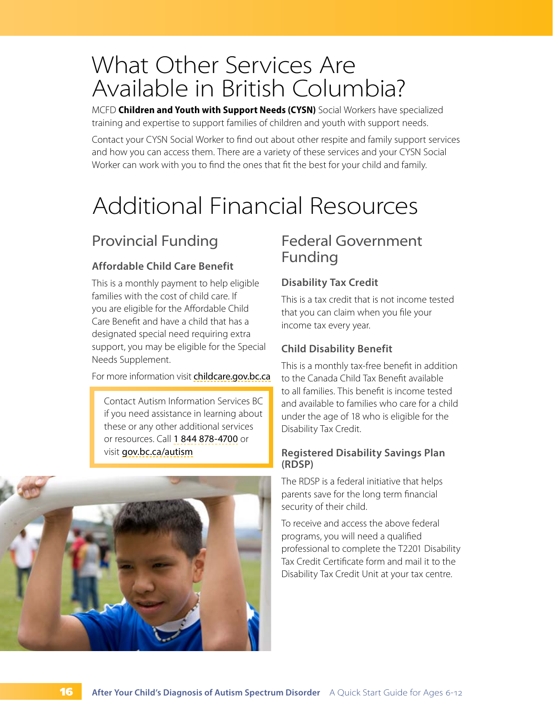### What Other Services Are Available in British Columbia?

MCFD **Children and Youth with Support Needs (CYSN)** Social Workers have specialized training and expertise to support families of children and youth with support needs.

Contact your CYSN Social Worker to find out about other respite and family support services and how you can access them. There are a variety of these services and your CYSN Social Worker can work with you to find the ones that fit the best for your child and family.

## Additional Financial Resources

### Provincial Funding

#### **Affordable Child Care Benefit**

This is a monthly payment to help eligible families with the cost of child care. If you are eligible for the Affordable Child Care Benefit and have a child that has a designated special need requiring extra support, you may be eligible for the Special Needs Supplement.

For more information visit [childcare.gov.bc.ca](http://childcare.gov.bc.ca)

Contact Autism Information Services BC if you need assistance in learning about these or any other additional services or resources. Call 1 844 878-4700 or visit [gov.bc.ca/autism](http://gov.bc.ca/autism)



### Federal Government Funding

#### **Disability Tax Credit**

This is a tax credit that is not income tested that you can claim when you file your income tax every year.

#### **Child Disability Benefit**

This is a monthly tax-free benefit in addition to the Canada Child Tax Benefit available to all families. This benefit is income tested and available to families who care for a child under the age of 18 who is eligible for the Disability Tax Credit.

#### **Registered Disability Savings Plan (RDSP)**

The RDSP is a federal initiative that helps parents save for the long term financial security of their child.

To receive and access the above federal programs, you will need a qualified professional to complete the T2201 Disability Tax Credit Certificate form and mail it to the Disability Tax Credit Unit at your tax centre.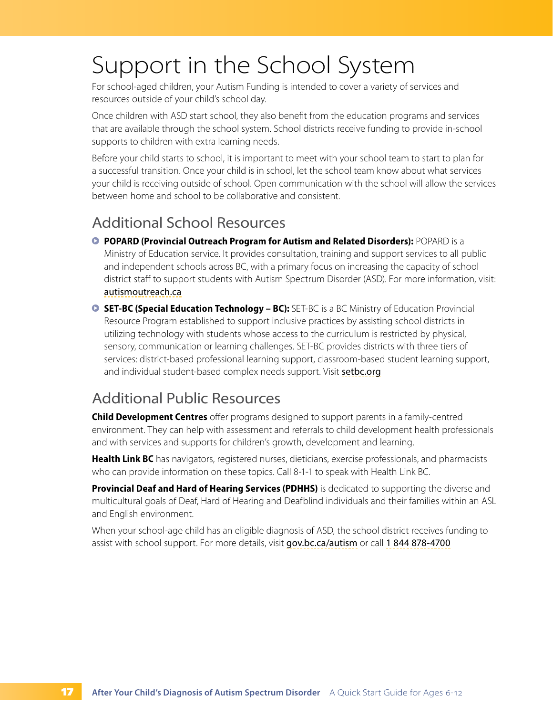## Support in the School System

For school-aged children, your Autism Funding is intended to cover a variety of services and resources outside of your child's school day.

Once children with ASD start school, they also benefit from the education programs and services that are available through the school system. School districts receive funding to provide in-school supports to children with extra learning needs.

Before your child starts to school, it is important to meet with your school team to start to plan for a successful transition. Once your child is in school, let the school team know about what services your child is receiving outside of school. Open communication with the school will allow the services between home and school to be collaborative and consistent.

### Additional School Resources

- **<b>D** POPARD (Provincial Outreach Program for Autism and Related Disorders): POPARD is a Ministry of Education service. It provides consultation, training and support services to all public and independent schools across BC, with a primary focus on increasing the capacity of school district staff to support students with Autism Spectrum Disorder (ASD). For more information, visit: [autismoutreach.ca](http://autismoutreach.ca)
- **SET-BC (Special Education Technology BC):** SET-BC is a BC Ministry of Education Provincial Resource Program established to support inclusive practices by assisting school districts in utilizing technology with students whose access to the curriculum is restricted by physical, sensory, communication or learning challenges. SET-BC provides districts with three tiers of services: district-based professional learning support, classroom-based student learning support, and individual student-based complex needs support. Visit [setbc.org](http://setbc.org)

### Additional Public Resources

**Child Development Centres** offer programs designed to support parents in a family-centred environment. They can help with assessment and referrals to child development health professionals and with services and supports for children's growth, development and learning.

**Health Link BC** has navigators, registered nurses, dieticians, exercise professionals, and pharmacists who can provide information on these topics. Call 8-1-1 to speak with Health Link BC.

**Provincial Deaf and Hard of Hearing Services (PDHHS)** is dedicated to supporting the diverse and multicultural goals of Deaf, Hard of Hearing and Deafblind individuals and their families within an ASL and English environment.

When your school-age child has an eligible diagnosis of ASD, the school district receives funding to assist with school support. For more details, visit [gov.bc.ca/autism](http://gov.bc.ca/autism) or call 1 844 878-4700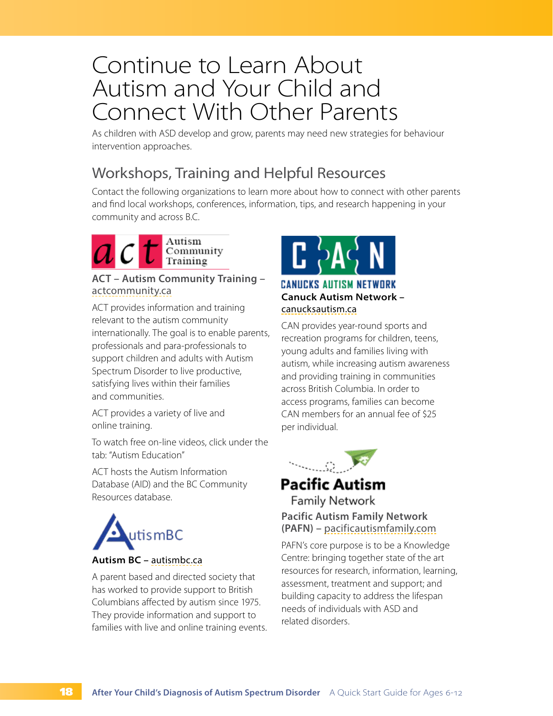### Continue to Learn About Autism and Your Child and Connect With Other Parents

As children with ASD develop and grow, parents may need new strategies for behaviour intervention approaches.

### Workshops, Training and Helpful Resources

Contact the following organizations to learn more about how to connect with other parents and find local workshops, conferences, information, tips, and research happening in your community and across B.C.



#### **ACT – Autism Community Training –**  [actcommunity.ca](http://actcommunity.ca)

ACT provides information and training relevant to the autism community internationally. The goal is to enable parents, professionals and para-professionals to support children and adults with Autism Spectrum Disorder to live productive, satisfying lives within their families and communities.

ACT provides a variety of live and online training.

To watch free on-line videos, click under the tab: "Autism Education"

ACT hosts the Autism Information Database (AID) and the BC Community Resources database.



#### **Autism BC –** [autismbc.ca](http://autismbc.ca)

A parent based and directed society that has worked to provide support to British Columbians affected by autism since 1975. They provide information and support to families with live and online training events.



#### **CANUCKS AUTISM NETWORK Canuck Autism Network –**  [canucksautism.ca](http://canucksautism.ca)

CAN provides year-round sports and recreation programs for children, teens, young adults and families living with autism, while increasing autism awareness and providing training in communities across British Columbia. In order to access programs, families can become CAN members for an annual fee of \$25 per individual.



#### **Pacific Autism Family Network**

#### **Pacific Autism Family Network (PAFN) –** [pacificautismfamily.com](http://pacificautismfamily.com)

PAFN's core purpose is to be a Knowledge Centre: bringing together state of the art resources for research, information, learning, assessment, treatment and support; and building capacity to address the lifespan needs of individuals with ASD and related disorders.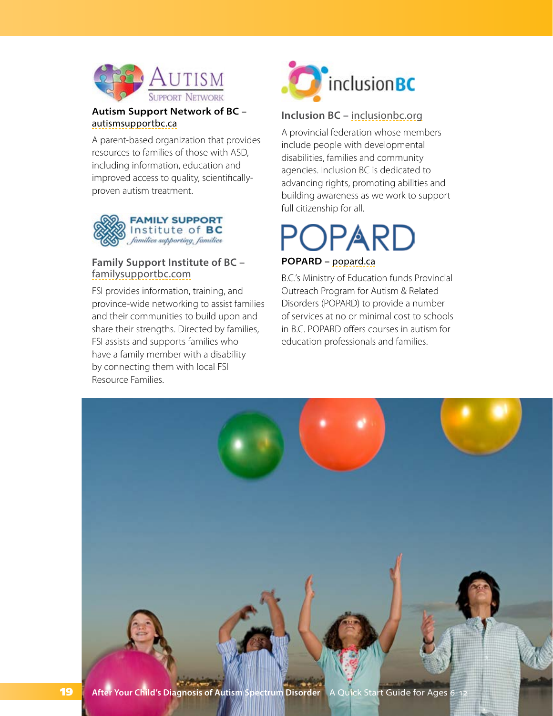

#### **Autism Support Network of BC –**  [autismsupportbc.ca](http://autismsupportbc.ca)

A parent-based organization that provides resources to families of those with ASD, including information, education and improved access to quality, scientificallyproven autism treatment.



#### **Family Support Institute of BC –**  [familysupportbc.com](http://familysupportbc.com)

FSI provides information, training, and province-wide networking to assist families and their communities to build upon and share their strengths. Directed by families, FSI assists and supports families who have a family member with a disability by connecting them with local FSI Resource Families.



#### **Inclusion BC –** [inclusionbc.org](http://inclusionbc.org)

A provincial federation whose members include people with developmental disabilities, families and community agencies. Inclusion BC is dedicated to advancing rights, promoting abilities and building awareness as we work to support full citizenship for all.

# DPARD

#### **POPARD –** [popard.ca](http://popard.ca)

B.C.'s Ministry of Education funds Provincial Outreach Program for Autism & Related Disorders (POPARD) to provide a number of services at no or minimal cost to schools in B.C. POPARD offers courses in autism for education professionals and families.

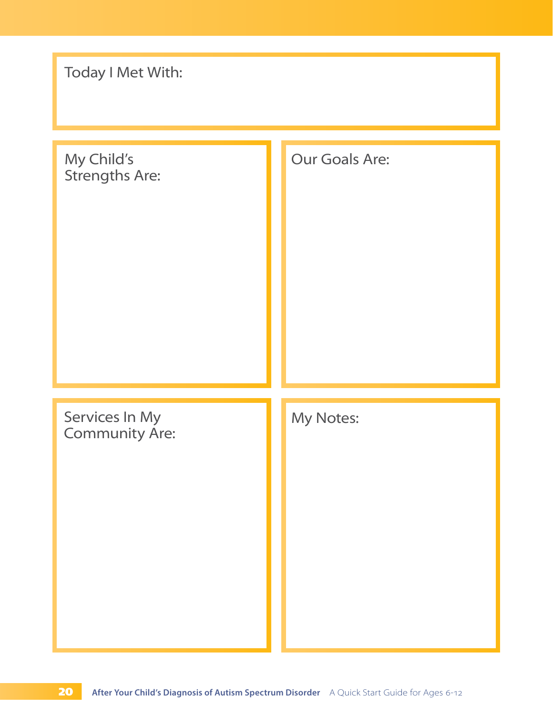| Today I Met With:                       |                |  |  |  |  |  |
|-----------------------------------------|----------------|--|--|--|--|--|
| My Child's<br>Strengths Are:            | Our Goals Are: |  |  |  |  |  |
| Services In My<br><b>Community Are:</b> | My Notes:      |  |  |  |  |  |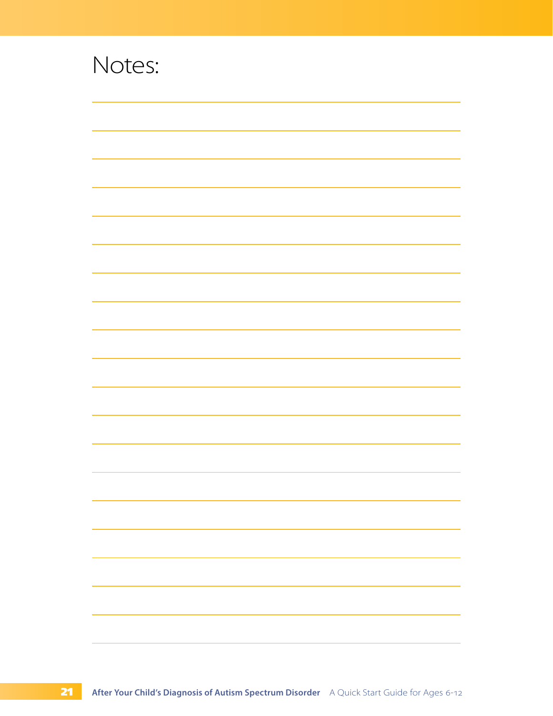| Notes: |  |  |
|--------|--|--|
|        |  |  |
|        |  |  |
|        |  |  |
|        |  |  |
|        |  |  |
|        |  |  |
|        |  |  |
|        |  |  |
|        |  |  |
|        |  |  |
|        |  |  |
|        |  |  |
|        |  |  |
|        |  |  |
|        |  |  |
|        |  |  |
|        |  |  |